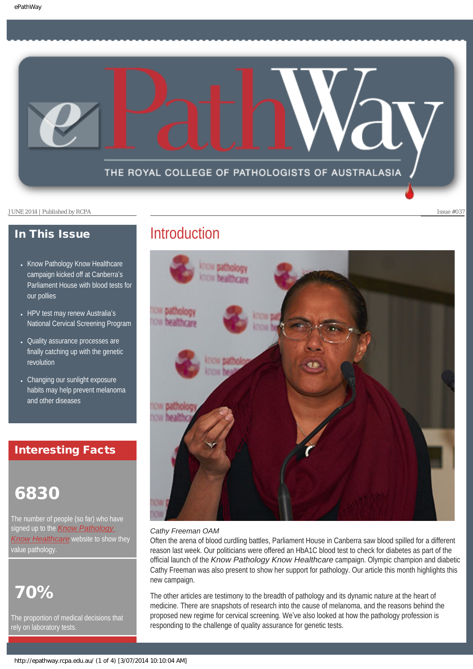

## In This Issue

- [Know Pathology Know Healthcare](#page-1-0) [campaign kicked off at Canberra](#page-1-0)'s [Parliament House with blood tests for](#page-1-0)  [our pollies](#page-1-0)
- [HPV test may renew Australia](#page-1-1)'s [National Cervical Screening Program](#page-1-1)
- [Quality assurance processes are](#page-2-0) [finally catching up with the genetic](#page-2-0)  [revolution](#page-2-0)
- [Changing our sunlight exposure](#page-2-1) [habits may help prevent melanoma](#page-2-1)  [and other diseases](#page-2-1)

## Interesting Facts

# 6830

The number of people (so far) who have signed up to the *[Know Pathology](http://knowpathology.com.au/)  [Know Healthcare](http://knowpathology.com.au/)* website to show they value pathology.

# 70%

The proportion of medical decisions that rely on laboratory tests.

# **Introduction**



## *Cathy Freeman OAM*

Often the arena of blood curdling battles, Parliament House in Canberra saw blood spilled for a different reason last week. Our politicians were offered an HbA1C blood test to check for diabetes as part of the official launch of the *Know Pathology Know Healthcare* campaign. Olympic champion and diabetic Cathy Freeman was also present to show her support for pathology. Our article this month highlights this new campaign.

The other articles are testimony to the breadth of pathology and its dynamic nature at the heart of medicine. There are snapshots of research into the cause of melanoma, and the reasons behind the proposed new regime for cervical screening. We've also looked at how the pathology profession is responding to the challenge of quality assurance for genetic tests.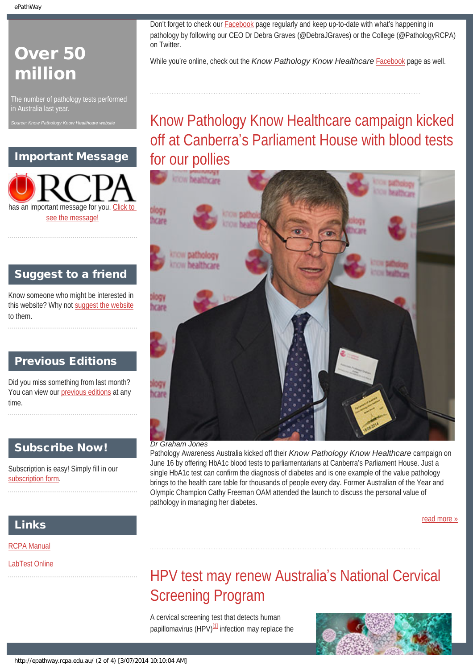# Over 50 million

The number of pathology tests performed in Australia last year.

<span id="page-1-0"></span>*Source: Know Pathology Know Healthcare website*

## Important Message



## Suggest to a friend

Know someone who might be interested in this website? Why not [suggest the website](mailto:?Subject=I%20think%20you%20should%20read%20this%20Newsletter=
http://epathway.rcpa.edu.au/index.html) to them.

## Previous Editions

Did you miss something from last month? You can view our [previous editions](#page-5-0) at any time.

## Subscribe Now!

Subscription is easy! Simply fill in our [subscription form](#page-7-0).

## Links

[RCPA Manual](http://rcpamanual.edu.au/)

<span id="page-1-1"></span>[LabTest Online](http://www.labtestsonline.org.au/)

Don't forget to check our [Facebook](https://www.facebook.com/TheRoyalCollegeOfPathologistsOfAustralasia) page regularly and keep up-to-date with what's happening in pathology by following our CEO Dr Debra Graves (@DebraJGraves) or the College (@PathologyRCPA) on Twitter.

While you're online, check out the *Know Pathology Know Healthcare* [Facebook](https://www.facebook.com/KnowPathology) page as well.

# Know Pathology Know Healthcare campaign kicked off at Canberra's Parliament House with blood tests for our pollies



## *Dr Graham Jones*

Pathology Awareness Australia kicked off their *Know Pathology Know Healthcare* campaign on June 16 by offering HbA1c blood tests to parliamentarians at Canberra's Parliament House. Just a single HbA1c test can confirm the diagnosis of diabetes and is one example of the value pathology brings to the health care table for thousands of people every day. Former Australian of the Year and Olympic Champion Cathy Freeman OAM attended the launch to discuss the personal value of pathology in managing her diabetes.

[read more »](#page-8-0)

# HPV test may renew Australia's National Cervical Screening Program

A cervical screening test that detects human papillomavirus (HPV) $[1]$  infection may replace the

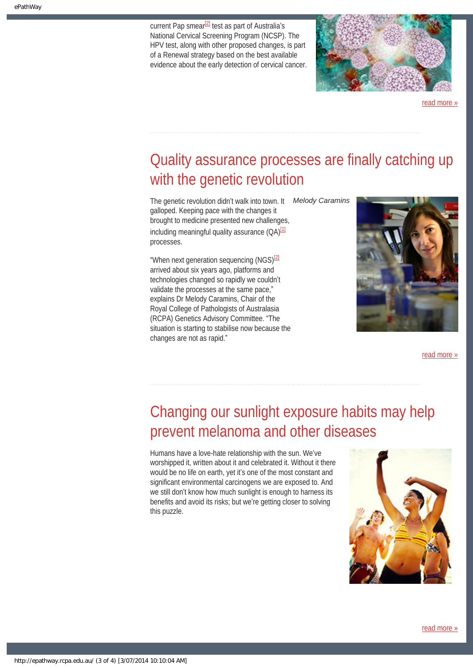current Pap smear $^{[2]}$  $^{[2]}$  $^{[2]}$  test as part of Australia's National Cervical Screening Program (NCSP). The HPV test, along with other proposed changes, is part of a Renewal strategy based on the best available evidence about the early detection of cervical cancer.



[read more »](#page-10-0)

# <span id="page-2-0"></span>Quality assurance processes are finally catching up with the genetic revolution

The genetic revolution didn't walk into town. It *Melody Caramins* galloped. Keeping pace with the changes it brought to medicine presented new challenges, including meaningful quality assurance  $(QA)^{[1]}$  $(QA)^{[1]}$  $(QA)^{[1]}$ processes.

"When next generation sequencing  $(NGS)^{[2]}$  $(NGS)^{[2]}$  $(NGS)^{[2]}$ arrived about six years ago, platforms and technologies changed so rapidly we couldn't validate the processes at the same pace," explains Dr Melody Caramins, Chair of the Royal College of Pathologists of Australasia (RCPA) Genetics Advisory Committee. "The situation is starting to stabilise now because the changes are not as rapid."



[read more »](#page-12-0)

# <span id="page-2-1"></span>Changing our sunlight exposure habits may help prevent melanoma and other diseases

Humans have a love-hate relationship with the sun. We've worshipped it, written about it and celebrated it. Without it there would be no life on earth, yet it's one of the most constant and significant environmental carcinogens we are exposed to. And we still don't know how much sunlight is enough to harness its benefits and avoid its risks; but we're getting closer to solving this puzzle.

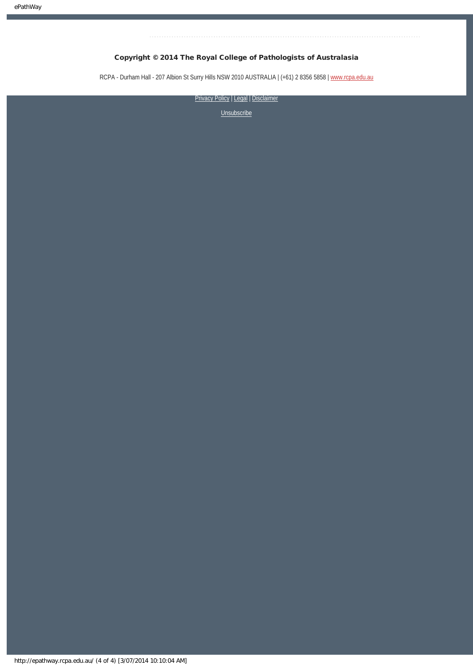## Copyright © 2014 The Royal College of Pathologists of Australasia

RCPA - Durham Hall - 207 Albion St Surry Hills NSW 2010 AUSTRALIA | (+61) 2 8356 5858 | [www.rcpa.edu.au](http://www.rcpa.edu.au/)

[Privacy Policy](http://www.rcpa.edu.au/Content-Library/Privacy.aspx) | [Legal](http://www.rcpa.edu.au/Legal.aspx) | Disclaimer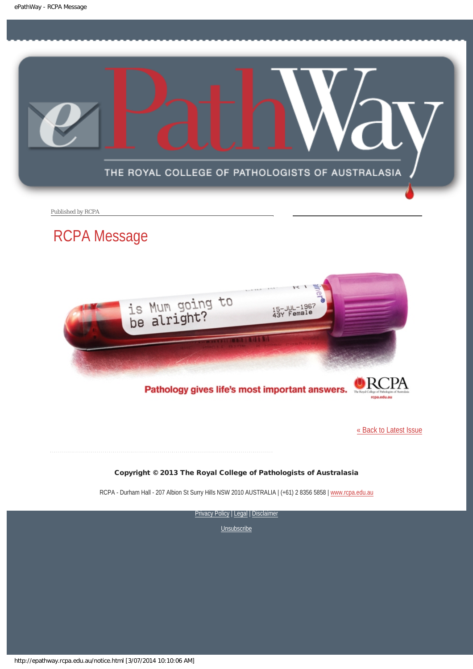<span id="page-4-0"></span>

Published by RCPA

# RCPA Message



Pathology gives life's most important answers.

[« Back to Latest Issue](http://epathway.rcpa.edu.au/index.html)

## Copyright © 2013 The Royal College of Pathologists of Australasia

RCPA - Durham Hall - 207 Albion St Surry Hills NSW 2010 AUSTRALIA | (+61) 2 8356 5858 | [www.rcpa.edu.au](http://www.rcpa.edu.au/)

[Privacy Policy](http://www.rcpa.edu.au/Content-Library/Privacy.aspx) | [Legal](http://www.rcpa.edu.au/Legal.aspx) | Disclaimer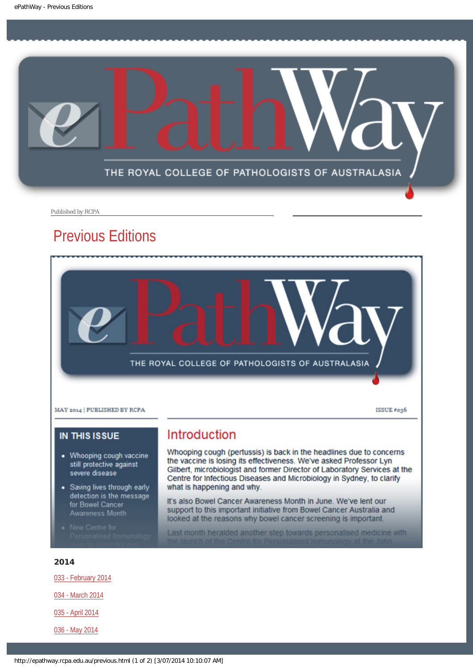<span id="page-5-0"></span>

Published by RCPA

## Previous Editions



## **IN THIS ISSUE**

- Whooping cough vaccine still protective against severe disease
- Saving lives through early detection is the message for Bowel Cancer Awareness Month
- 

## Introduction

Whooping cough (pertussis) is back in the headlines due to concerns the vaccine is losing its effectiveness. We've asked Professor Lyn Gilbert, microbiologist and former Director of Laboratory Services at the Centre for Infectious Diseases and Microbiology in Sydney, to clarify what is happening and why.

It's also Bowel Cancer Awareness Month in June. We've lent our support to this important initiative from Bowel Cancer Australia and looked at the reasons why bowel cancer screening is important.

Last month heralded another step towards personalised medicine with

## 2014

[033 - February 2014](http://epathway.rcpa.edu.au/previous/033_0214.pdf)

[034 - March 2014](http://epathway.rcpa.edu.au/previous/034_0314.pdf)

[035 - April 2014](http://epathway.rcpa.edu.au/previous/035_0414.pdf)

[036 - May 2014](http://epathway.rcpa.edu.au/previous/036_0414.pdf)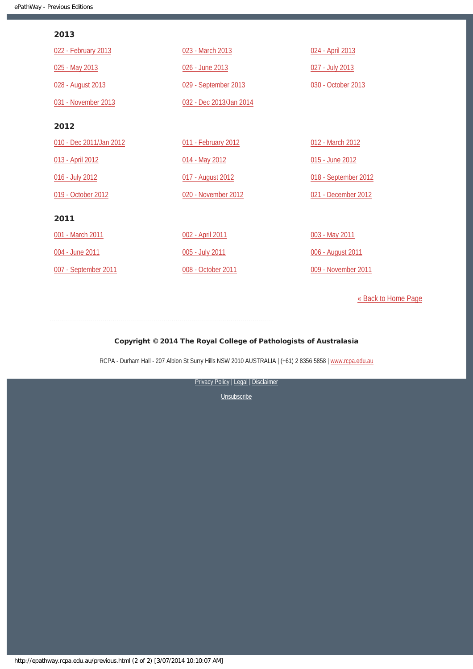## 2013

| 022 - February 2013     | 023 - March 2013        | 024 - April 2013     |
|-------------------------|-------------------------|----------------------|
| 025 - May 2013          | 026 - June 2013         | 027 - July 2013      |
| 028 - August 2013       | 029 - September 2013    | 030 - October 2013   |
| 031 - November 2013     | 032 - Dec 2013/Jan 2014 |                      |
| 2012                    |                         |                      |
| 010 - Dec 2011/Jan 2012 | 011 - February 2012     | 012 - March 2012     |
| 013 - April 2012        | 014 - May 2012          | 015 - June 2012      |
| 016 - July 2012         | 017 - August 2012       | 018 - September 2012 |
| 019 - October 2012      | 020 - November 2012     | 021 - December 2012  |
| 2011                    |                         |                      |
| 001 - March 2011        | 002 - April 2011        | 003 - May 2011       |
| 004 - June 2011         | 005 - July 2011         | 006 - August 2011    |
| 007 - September 2011    | 008 - October 2011      | 009 - November 2011  |

[« Back to Home Page](http://epathway.rcpa.edu.au/index.html)

## Copyright © 2014 The Royal College of Pathologists of Australasia

RCPA - Durham Hall - 207 Albion St Surry Hills NSW 2010 AUSTRALIA | (+61) 2 8356 5858 | [www.rcpa.edu.au](http://www.rcpa.edu.au/)

[Privacy Policy](http://www.rcpa.edu.au/Content-Library/Privacy.aspx) | [Legal](http://www.rcpa.edu.au/Legal.aspx) | Disclaimer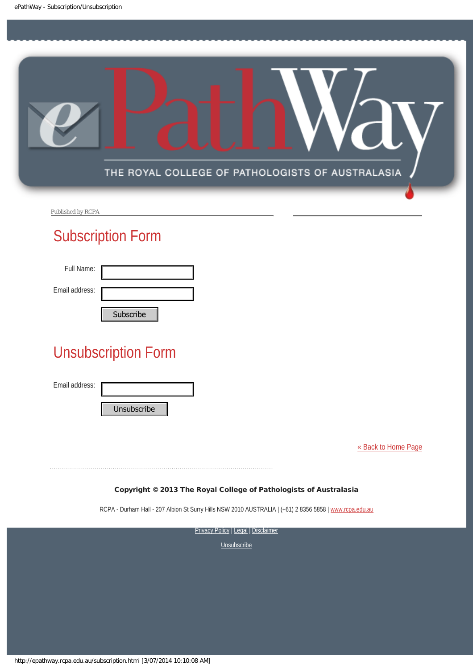<span id="page-7-0"></span>

Published by RCPA

# Subscription Form

| Full Name:     |                |
|----------------|----------------|
| Email address: |                |
|                | $C1$ the cribe |

# Unsubscription Form Subscribe<br>
Unsubscription Form<br>
Email address:<br>
Unsubscribe<br>
Copyright © 2013 The Roy<br>
RCPA - Durham Hall - 207 Albion SI Surry Hi<br>
Private<br>
Nttp://epathway.rcpa.edu.au/subscription.html [3/07/2014 10:10:08 AM]<br>
http://epa

Email address:

[« Back to Home Page](http://epathway.rcpa.edu.au/index.html)

Copyright © 2013 The Royal College of Pathologists of Australasia

RCPA - Durham Hall - 207 Albion St Surry Hills NSW 2010 AUSTRALIA | (+61) 2 8356 5858 | [www.rcpa.edu.au](http://www.rcpa.edu.au/)

**[Privacy Policy](http://www.rcpa.edu.au/Content-Library/Privacy.aspx) | [Legal](http://www.rcpa.edu.au/Legal.aspx) | Disclaimer**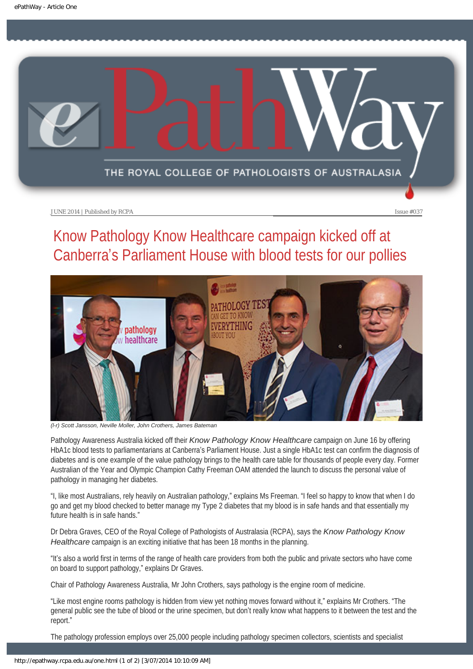<span id="page-8-0"></span>

# Know Pathology Know Healthcare campaign kicked off at Canberra's Parliament House with blood tests for our pollies



*(l-r) Scott Jansson, Neville Moller, John Crothers, James Bateman*

Pathology Awareness Australia kicked off their *Know Pathology Know Healthcare* campaign on June 16 by offering HbA1c blood tests to parliamentarians at Canberra's Parliament House. Just a single HbA1c test can confirm the diagnosis of diabetes and is one example of the value pathology brings to the health care table for thousands of people every day. Former Australian of the Year and Olympic Champion Cathy Freeman OAM attended the launch to discuss the personal value of pathology in managing her diabetes.

"I, like most Australians, rely heavily on Australian pathology," explains Ms Freeman. "I feel so happy to know that when I do go and get my blood checked to better manage my Type 2 diabetes that my blood is in safe hands and that essentially my future health is in safe hands."

Dr Debra Graves, CEO of the Royal College of Pathologists of Australasia (RCPA), says the *Know Pathology Know Healthcare* campaign is an exciting initiative that has been 18 months in the planning.

"It's also a world first in terms of the range of health care providers from both the public and private sectors who have come on board to support pathology," explains Dr Graves.

Chair of Pathology Awareness Australia, Mr John Crothers, says pathology is the engine room of medicine.

"Like most engine rooms pathology is hidden from view yet nothing moves forward without it," explains Mr Crothers. "The general public see the tube of blood or the urine specimen, but don't really know what happens to it between the test and the report."

The pathology profession employs over 25,000 people including pathology specimen collectors, scientists and specialist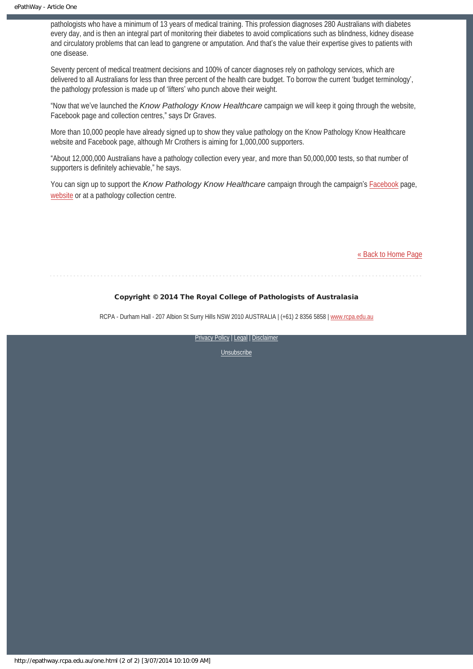pathologists who have a minimum of 13 years of medical training. This profession diagnoses 280 Australians with diabetes every day, and is then an integral part of monitoring their diabetes to avoid complications such as blindness, kidney disease and circulatory problems that can lead to gangrene or amputation. And that's the value their expertise gives to patients with one disease.

Seventy percent of medical treatment decisions and 100% of cancer diagnoses rely on pathology services, which are delivered to all Australians for less than three percent of the health care budget. To borrow the current 'budget terminology', the pathology profession is made up of 'lifters' who punch above their weight.

"Now that we've launched the *Know Pathology Know Healthcare* campaign we will keep it going through the website, Facebook page and collection centres," says Dr Graves.

More than 10,000 people have already signed up to show they value pathology on the Know Pathology Know Healthcare website and Facebook page, although Mr Crothers is aiming for 1,000,000 supporters.

"About 12,000,000 Australians have a pathology collection every year, and more than 50,000,000 tests, so that number of supporters is definitely achievable," he says.

You can sign up to support the *Know Pathology Know Healthcare* campaign through the campaign's [Facebook](https://www.facebook.com/KnowPathology) page, [website](http://knowpathology.com.au/) or at a pathology collection centre.

[« Back to Home Page](http://epathway.rcpa.edu.au/index.html)

#### Copyright © 2014 The Royal College of Pathologists of Australasia

RCPA - Durham Hall - 207 Albion St Surry Hills NSW 2010 AUSTRALIA | (+61) 2 8356 5858 | [www.rcpa.edu.au](http://www.rcpa.edu.au/)

[Privacy Policy](http://www.rcpa.edu.au/Content-Library/Privacy.aspx) | [Legal](http://www.rcpa.edu.au/Legal.aspx) | Disclaimer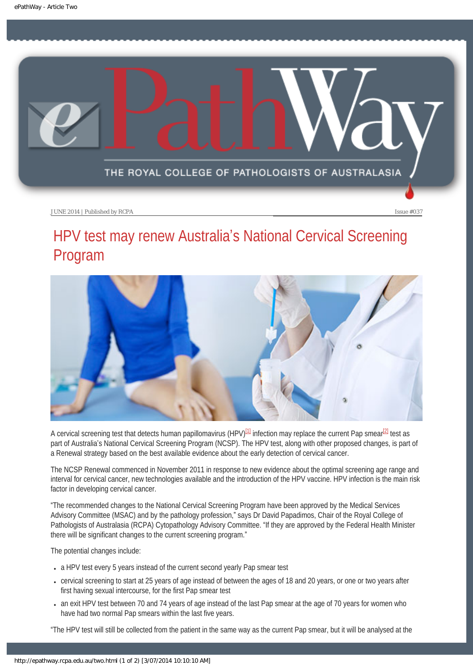<span id="page-10-0"></span>

# HPV test may renew Australia's National Cervical Screening Program



<span id="page-10-1"></span>A cervical screening test that detects human papillomavirus (HPV)<sup>[\[1\]](#page-11-0)</sup> infection may replace the current Pap smear<sup>[\[2\]](#page-11-1)</sup> test as part of Australia's National Cervical Screening Program (NCSP). The HPV test, along with other proposed changes, is part of a Renewal strategy based on the best available evidence about the early detection of cervical cancer.

The NCSP Renewal commenced in November 2011 in response to new evidence about the optimal screening age range and interval for cervical cancer, new technologies available and the introduction of the HPV vaccine. HPV infection is the main risk factor in developing cervical cancer.

"The recommended changes to the National Cervical Screening Program have been approved by the Medical Services Advisory Committee (MSAC) and by the pathology profession," says Dr David Papadimos, Chair of the Royal College of Pathologists of Australasia (RCPA) Cytopathology Advisory Committee. "If they are approved by the Federal Health Minister there will be significant changes to the current screening program."

The potential changes include:

- a HPV test every 5 years instead of the current second yearly Pap smear test
- cervical screening to start at 25 years of age instead of between the ages of 18 and 20 years, or one or two years after first having sexual intercourse, for the first Pap smear test
- an exit HPV test between 70 and 74 years of age instead of the last Pap smear at the age of 70 years for women who have had two normal Pap smears within the last five years.

"The HPV test will still be collected from the patient in the same way as the current Pap smear, but it will be analysed at the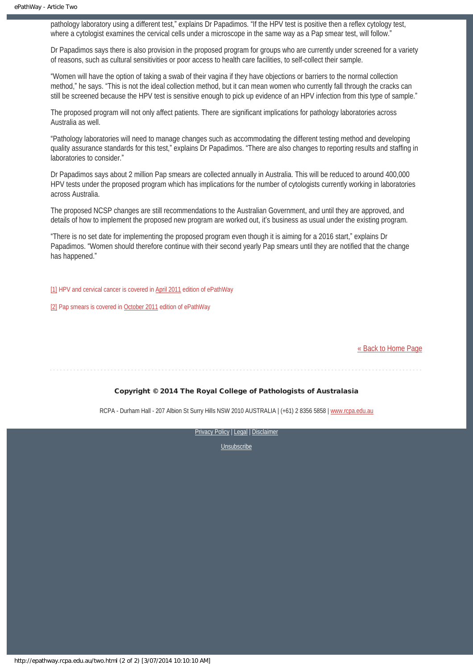pathology laboratory using a different test," explains Dr Papadimos. "If the HPV test is positive then a reflex cytology test, where a cytologist examines the cervical cells under a microscope in the same way as a Pap smear test, will follow."

Dr Papadimos says there is also provision in the proposed program for groups who are currently under screened for a variety of reasons, such as cultural sensitivities or poor access to health care facilities, to self-collect their sample.

"Women will have the option of taking a swab of their vagina if they have objections or barriers to the normal collection method," he says. "This is not the ideal collection method, but it can mean women who currently fall through the cracks can still be screened because the HPV test is sensitive enough to pick up evidence of an HPV infection from this type of sample."

The proposed program will not only affect patients. There are significant implications for pathology laboratories across Australia as well.

"Pathology laboratories will need to manage changes such as accommodating the different testing method and developing quality assurance standards for this test," explains Dr Papadimos. "There are also changes to reporting results and staffing in laboratories to consider."

Dr Papadimos says about 2 million Pap smears are collected annually in Australia. This will be reduced to around 400,000 HPV tests under the proposed program which has implications for the number of cytologists currently working in laboratories across Australia.

The proposed NCSP changes are still recommendations to the Australian Government, and until they are approved, and details of how to implement the proposed new program are worked out, it's business as usual under the existing program.

"There is no set date for implementing the proposed program even though it is aiming for a 2016 start," explains Dr Papadimos. "Women should therefore continue with their second yearly Pap smears until they are notified that the change has happened."

<span id="page-11-0"></span>[\[1\]](#page-10-1) HPV and cervical cancer is covered in [April 2011](http://epathway.rcpa.edu.au/previous/002_0411.pdf) edition of ePathWay

<span id="page-11-1"></span>[\[2\]](#page-10-1) Pap smears is covered in [October 2011](http://epathway.rcpa.edu.au/previous/008_1011.pdf) edition of ePathWay

[« Back to Home Page](http://epathway.rcpa.edu.au/index.html)

#### Copyright © 2014 The Royal College of Pathologists of Australasia

RCPA - Durham Hall - 207 Albion St Surry Hills NSW 2010 AUSTRALIA | (+61) 2 8356 5858 | [www.rcpa.edu.au](http://www.rcpa.edu.au/)

[Privacy Policy](http://www.rcpa.edu.au/Content-Library/Privacy.aspx) | [Legal](http://www.rcpa.edu.au/Legal.aspx) | Disclaimer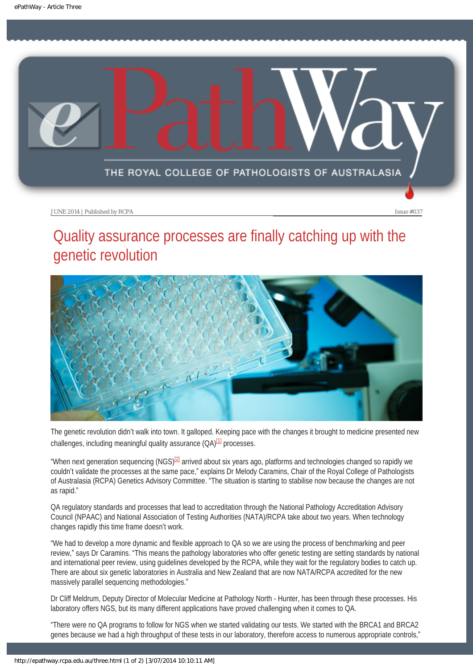<span id="page-12-0"></span>

# Quality assurance processes are finally catching up with the genetic revolution



The genetic revolution didn't walk into town. It galloped. Keeping pace with the changes it brought to medicine presented new challenges, including meaningful quality assurance  $(QA)^{[1]}$  processes.

<span id="page-12-2"></span><span id="page-12-1"></span>"When next generation sequencing (NGS)<sup>[\[2\]](#page-13-1)</sup> arrived about six years ago, platforms and technologies changed so rapidly we couldn't validate the processes at the same pace," explains Dr Melody Caramins, Chair of the Royal College of Pathologists of Australasia (RCPA) Genetics Advisory Committee. "The situation is starting to stabilise now because the changes are not as rapid."

QA regulatory standards and processes that lead to accreditation through the National Pathology Accreditation Advisory Council (NPAAC) and National Association of Testing Authorities (NATA)/RCPA take about two years. When technology changes rapidly this time frame doesn't work.

"We had to develop a more dynamic and flexible approach to QA so we are using the process of benchmarking and peer review," says Dr Caramins. "This means the pathology laboratories who offer genetic testing are setting standards by national and international peer review, using guidelines developed by the RCPA, while they wait for the regulatory bodies to catch up. There are about six genetic laboratories in Australia and New Zealand that are now NATA/RCPA accredited for the new massively parallel sequencing methodologies."

Dr Cliff Meldrum, Deputy Director of Molecular Medicine at Pathology North - Hunter, has been through these processes. His laboratory offers NGS, but its many different applications have proved challenging when it comes to QA.

"There were no QA programs to follow for NGS when we started validating our tests. We started with the BRCA1 and BRCA2 genes because we had a high throughput of these tests in our laboratory, therefore access to numerous appropriate controls,"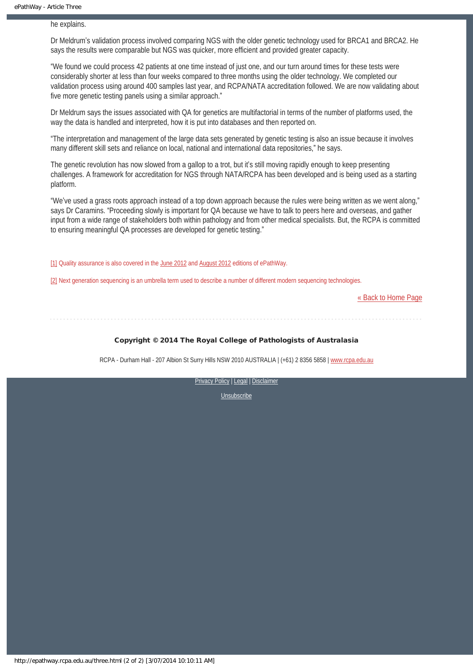he explains.

Dr Meldrum's validation process involved comparing NGS with the older genetic technology used for BRCA1 and BRCA2. He says the results were comparable but NGS was quicker, more efficient and provided greater capacity.

"We found we could process 42 patients at one time instead of just one, and our turn around times for these tests were considerably shorter at less than four weeks compared to three months using the older technology. We completed our validation process using around 400 samples last year, and RCPA/NATA accreditation followed. We are now validating about five more genetic testing panels using a similar approach."

Dr Meldrum says the issues associated with QA for genetics are multifactorial in terms of the number of platforms used, the way the data is handled and interpreted, how it is put into databases and then reported on.

"The interpretation and management of the large data sets generated by genetic testing is also an issue because it involves many different skill sets and reliance on local, national and international data repositories," he says.

The genetic revolution has now slowed from a gallop to a trot, but it's still moving rapidly enough to keep presenting challenges. A framework for accreditation for NGS through NATA/RCPA has been developed and is being used as a starting platform.

"We've used a grass roots approach instead of a top down approach because the rules were being written as we went along," says Dr Caramins. "Proceeding slowly is important for QA because we have to talk to peers here and overseas, and gather input from a wide range of stakeholders both within pathology and from other medical specialists. But, the RCPA is committed to ensuring meaningful QA processes are developed for genetic testing."

<span id="page-13-0"></span>[\[1\]](#page-12-1) Quality assurance is also covered in the [June 2012](http://epathway.rcpa.edu.au/previous/015_0612.pdf) and [August 2012](http://epathway.rcpa.edu.au/previous/017_0812.pdf) editions of ePathWay.

<span id="page-13-1"></span>[\[2\]](#page-12-2) Next generation sequencing is an umbrella term used to describe a number of different modern sequencing technologies.

[« Back to Home Page](http://epathway.rcpa.edu.au/index.html)

#### Copyright © 2014 The Royal College of Pathologists of Australasia

RCPA - Durham Hall - 207 Albion St Surry Hills NSW 2010 AUSTRALIA | (+61) 2 8356 5858 | [www.rcpa.edu.au](http://www.rcpa.edu.au/)

[Privacy Policy](http://www.rcpa.edu.au/Content-Library/Privacy.aspx) | [Legal](http://www.rcpa.edu.au/Legal.aspx) | Disclaimer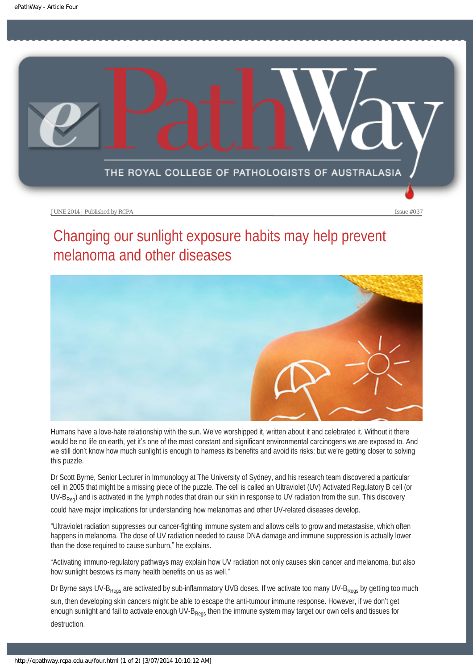<span id="page-14-0"></span>

# Changing our sunlight exposure habits may help prevent melanoma and other diseases



Humans have a love-hate relationship with the sun. We've worshipped it, written about it and celebrated it. Without it there would be no life on earth, yet it's one of the most constant and significant environmental carcinogens we are exposed to. And we still don't know how much sunlight is enough to harness its benefits and avoid its risks; but we're getting closer to solving this puzzle.

Dr Scott Byrne, Senior Lecturer in Immunology at The University of Sydney, and his research team discovered a particular cell in 2005 that might be a missing piece of the puzzle. The cell is called an Ultraviolet (UV) Activated Regulatory B cell (or  $UV-B<sub>Re0</sub>$ ) and is activated in the lymph nodes that drain our skin in response to UV radiation from the sun. This discovery could have major implications for understanding how melanomas and other UV-related diseases develop.

"Ultraviolet radiation suppresses our cancer-fighting immune system and allows cells to grow and metastasise, which often happens in melanoma. The dose of UV radiation needed to cause DNA damage and immune suppression is actually lower than the dose required to cause sunburn," he explains.

"Activating immuno-regulatory pathways may explain how UV radiation not only causes skin cancer and melanoma, but also how sunlight bestows its many health benefits on us as well."

Dr Byrne says UV-B<sub>Regs</sub> are activated by sub-inflammatory UVB doses. If we activate too many UV-B<sub>Regs</sub> by getting too much

sun, then developing skin cancers might be able to escape the anti-tumour immune response. However, if we don't get enough sunlight and fail to activate enough UV-B<sub>Regs</sub> then the immune system may target our own cells and tissues for destruction.